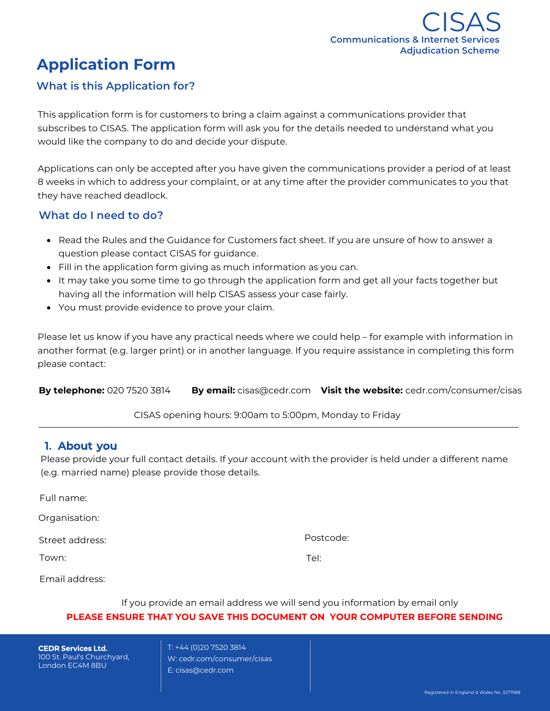# **Application Form**

## **What is this Application for?**

This application form is for customers to bring a claim against a communications provider that subscribes to CISAS. The application form will ask you for the details needed to understand what you would like the company to do and decide your dispute.

Applications can only be accepted after you have given the communications provider a period of at least 8 weeks in which to address your complaint, or at any time after the provider communicates to you that they have reached deadlock.

## **What do I need to do?**

- Read the Rules and the Guidance for Customers fact sheet. If you are unsure of how to answer a question please contact CISAS for guidance.
- Fill in the application form giving as much information as you can.
- It may take you some time to go through the application form and get all your facts together but having all the information will help CISAS assess your case fairly.
- You must provide evidence to prove your claim.

Please let us know if you have any practical needs where we could help – for example with information in another format (e.g. larger print) or in another language. If you require assistance in completing this form please contact:

**By telephone:** 020 7520 3814 **By email:** cisas@cedr.com **Visit the website:** cedr.com/consumer/cisas

CISAS opening hours: 9:00am to 5:00pm, Monday to Friday

## **1. About you**

Please provide your full contact details. If your account with the provider is held under a different name (e.g. married name) please provide those details.

| Full name:      |           |
|-----------------|-----------|
| Organisation:   |           |
| Street address: | Postcode: |
| Town:           | Tel:      |
| Email address:  |           |

## If you provide an email address we will send you information by email only **PLEASE ENSURE THAT YOU SAVE THIS DOCUMENT ON YOUR COMPUTER BEFORE SENDING**

**CEDR Services Ltd.** 100 St. Paul's Churchyard, London EC4M 8BU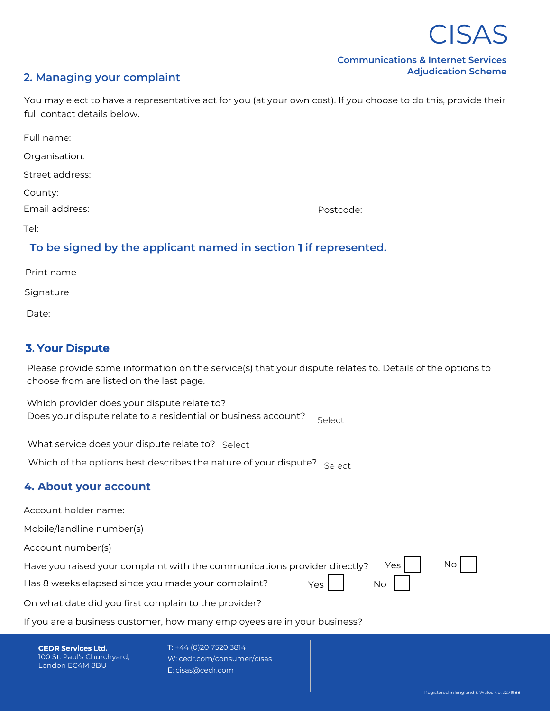

#### **Communications & Internet Services Adjudication Scheme**

## **2. Managing your complaint**

You may elect to have a representative act for you (at your own cost). If you choose to do this, provide their full contact details below.

| Full name:      |           |
|-----------------|-----------|
| Organisation:   |           |
| Street address: |           |
| County:         |           |
| Email address:  | Postcode: |
| Tel:            |           |

## **To be signed by the applicant named in section 1 if represented.**

| Print name |  |
|------------|--|
| Signature  |  |
| Date:      |  |

## **3. Your Dispute**

Please provide some information on the service(s) that your dispute relates to. Details of the options to choose from are listed on the last page.

Which provider does your dispute relate to? Does your dispute relate to a residential or business account?

What service does your dispute relate to? Select

Does your dispute relate to a residential or business account:  $\epsilon$  Select Select What service does your dispute relate to? Select Which of the options best describes the nature of your dispute? Select

## **4. About your account**

Account holder name:

Mobile/landline number(s)

Account number(s)

Have you raised your complaint with the communications provider directly?

Has 8 weeks elapsed since you made your complaint? Yes

No

Yes

No

On what date did you first complain to the provider?

If you are a business customer, how many employees are in your business?

**CEDR Services Ltd.** 100 St. Paul's Churchyard, London EC4M 8BU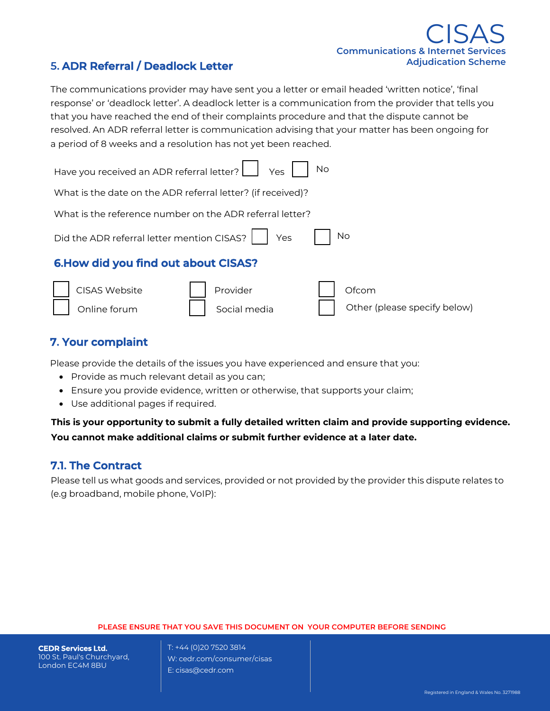## **Communications & Internet Services Adjudication Scheme** CISAS

Other (please specify below)

## **5. ADR Referral / Deadlock Letter**

The communications provider may have sent you a letter or email headed 'written notice', 'final response' or 'deadlock letter'. A deadlock letter is a communication from the provider that tells you that you have reached the end of their complaints procedure and that the dispute cannot be resolved. An ADR referral letter is communication advising that your matter has been ongoing for a period of 8 weeks and a resolution has not yet been reached.

| Have you received an ADR referral letter?   Yes<br><b>No</b> |  |  |  |
|--------------------------------------------------------------|--|--|--|
| What is the date on the ADR referral letter? (if received)?  |  |  |  |
| What is the reference number on the ADR referral letter?     |  |  |  |
| Did the ADR referral letter mention CISAS?   Yes<br>No       |  |  |  |
| 6. How did you find out about CISAS?                         |  |  |  |
| CISAS Website<br>Provider<br>Ofcom                           |  |  |  |

## **7. Your complaint**

Please provide the details of the issues you have experienced and ensure that you:

• Provide as much relevant detail as you can;

| Online forum | | Social media

- Ensure you provide evidence, written or otherwise, that supports your claim;
- Use additional pages if required.

## **This is your opportunity to submit a fully detailed written claim and provide supporting evidence. You cannot make additional claims or submit further evidence at a later date.**

## **7.1. The Contract**

Please tell us what goods and services, provided or not provided by the provider this dispute relates to (e.g broadband, mobile phone, VoIP):

#### **PLEASE ENSURE THAT YOU SAVE THIS DOCUMENT ON YOUR COMPUTER BEFORE SENDING**

**CEDR Services Ltd.** 100 St. Paul's Churchyard, London EC4M 8BU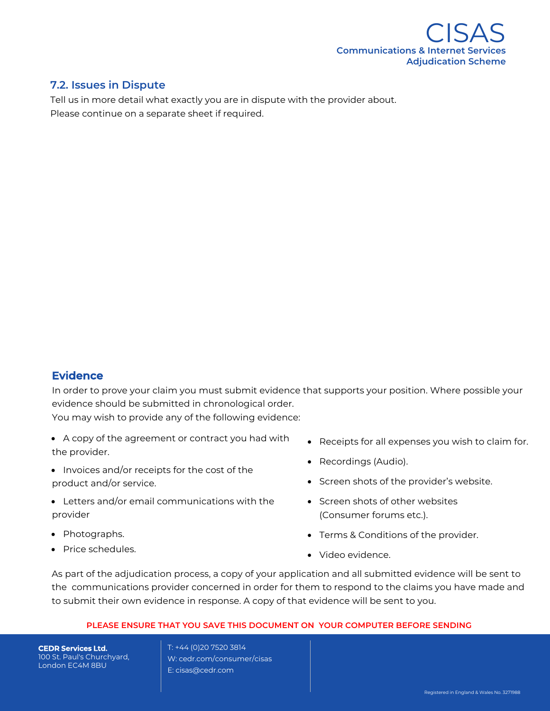

## **7.2. Issues in Dispute**

Tell us in more detail what exactly you are in dispute with the provider about. Please continue on a separate sheet if required.

## **Evidence**

In order to prove your claim you must submit evidence that supports your position. Where possible your evidence should be submitted in chronological order.

You may wish to provide any of the following evidence:

- A copy of the agreement or contract you had with the provider.
- Invoices and/or receipts for the cost of the product and/or service.
- Letters and/or email communications with the provider
- Photographs.
- Price schedules.
- Receipts for all expenses you wish to claim for.
- Recordings (Audio).
- Screen shots of the provider's website.
- Screen shots of other websites (Consumer forums etc.).
- Terms & Conditions of the provider.
- Video evidence.

As part of the adjudication process, a copy of your application and all submitted evidence will be sent to the communications provider concerned in order for them to respond to the claims you have made and to submit their own evidence in response. A copy of that evidence will be sent to you.

#### **PLEASE ENSURE THAT YOU SAVE THIS DOCUMENT ON YOUR COMPUTER BEFORE SENDING**

**CEDR Services Ltd.** 100 St. Paul's Churchyard, London EC4M 8BU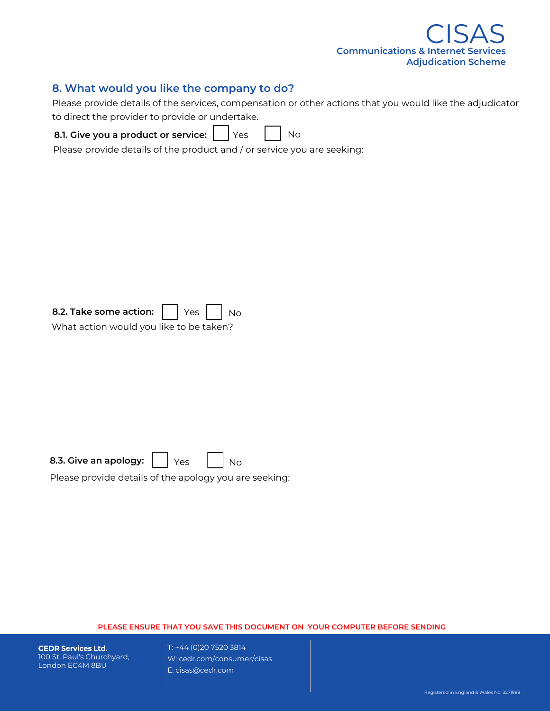

### **8. What would you like the company to do?**

Please provide details of the services, compensation or other actions that you would like the adjudicator to direct the provider to provide or undertake.

**8.1. Give you a product or service:**  $Yes$   $\vert$  No

Please provide details of the product and / or service you are seeking:

What action would you like to be taken?

| 8.3. Give an apology: |  |  |  |  |  |
|-----------------------|--|--|--|--|--|
|-----------------------|--|--|--|--|--|

Please provide details of the apology you are seeking:

#### **PLEASE ENSURE THAT YOU SAVE THIS DOCUMENT ON YOUR COMPUTER BEFORE SENDING**

**CEDR Services Ltd.** 100 St. Paul's Churchyard, London EC4M 8BU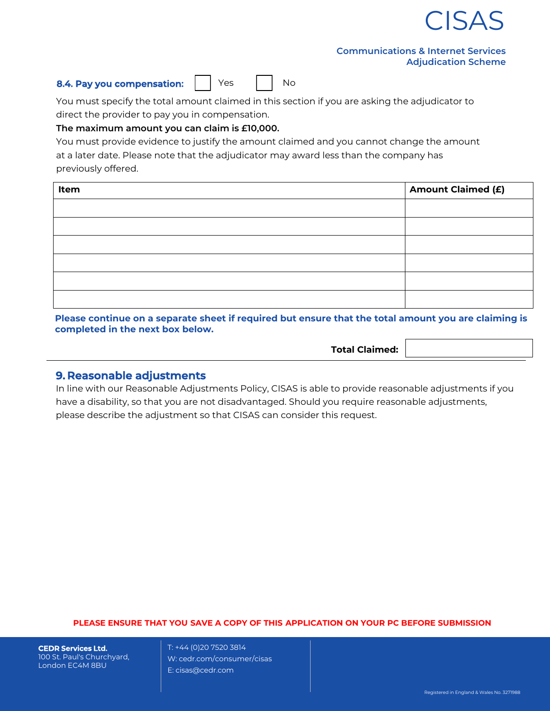

#### **Communications & Internet Services Adjudication Scheme**

#### **8.4. Pay you compensation:**  $\vert \cdot \vert$  Yes  $\vert \cdot \vert$  No

You must specify the total amount claimed in this section if you are asking the adjudicator to direct the provider to pay you in compensation.

#### **The maximum amount you can claim is £10,000.**

You must provide evidence to justify the amount claimed and you cannot change the amount at a later date. Please note that the adjudicator may award less than the company has previously offered.

| Item | <b>Amount Claimed (£)</b> |
|------|---------------------------|
|      |                           |
|      |                           |
|      |                           |
|      |                           |
|      |                           |
|      |                           |

**Please continue on a separate sheet if required but ensure that the total amount you are claiming is completed in the next box below.** 

**Total Claimed:** 

#### **9. Reasonable adjustments**

In line with our Reasonable Adjustments Policy, CISAS is able to provide reasonable adjustments if you have a disability, so that you are not disadvantaged. Should you require reasonable adjustments, please describe the adjustment so that CISAS can consider this request.

#### **PLEASE ENSURE THAT YOU SAVE A COPY OF THIS APPLICATION ON YOUR PC BEFORE SUBMISSION**

**CEDR Services Ltd.** 100 St. Paul's Churchyard, London EC4M 8BU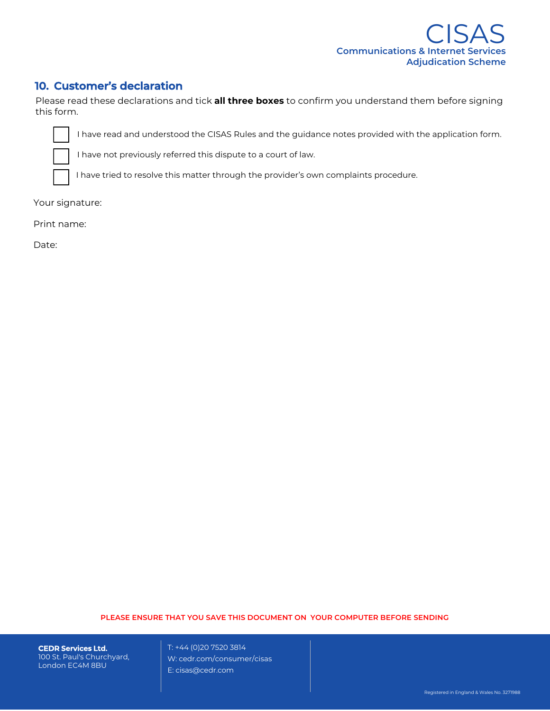

## **10. Customer's declaration**

Please read these declarations and tick **all three boxes** to confirm you understand them before signing this form.

I have read and understood the CISAS Rules and the guidance notes provided with the application form.

I have not previously referred this dispute to a court of law.

I have tried to resolve this matter through the provider's own complaints procedure.

Your signature:

Print name:

Date:

#### **PLEASE ENSURE THAT YOU SAVE THIS DOCUMENT ON YOUR COMPUTER BEFORE SENDING**

**CEDR Services Ltd.** 100 St. Paul's Churchyard, London EC4M 8BU